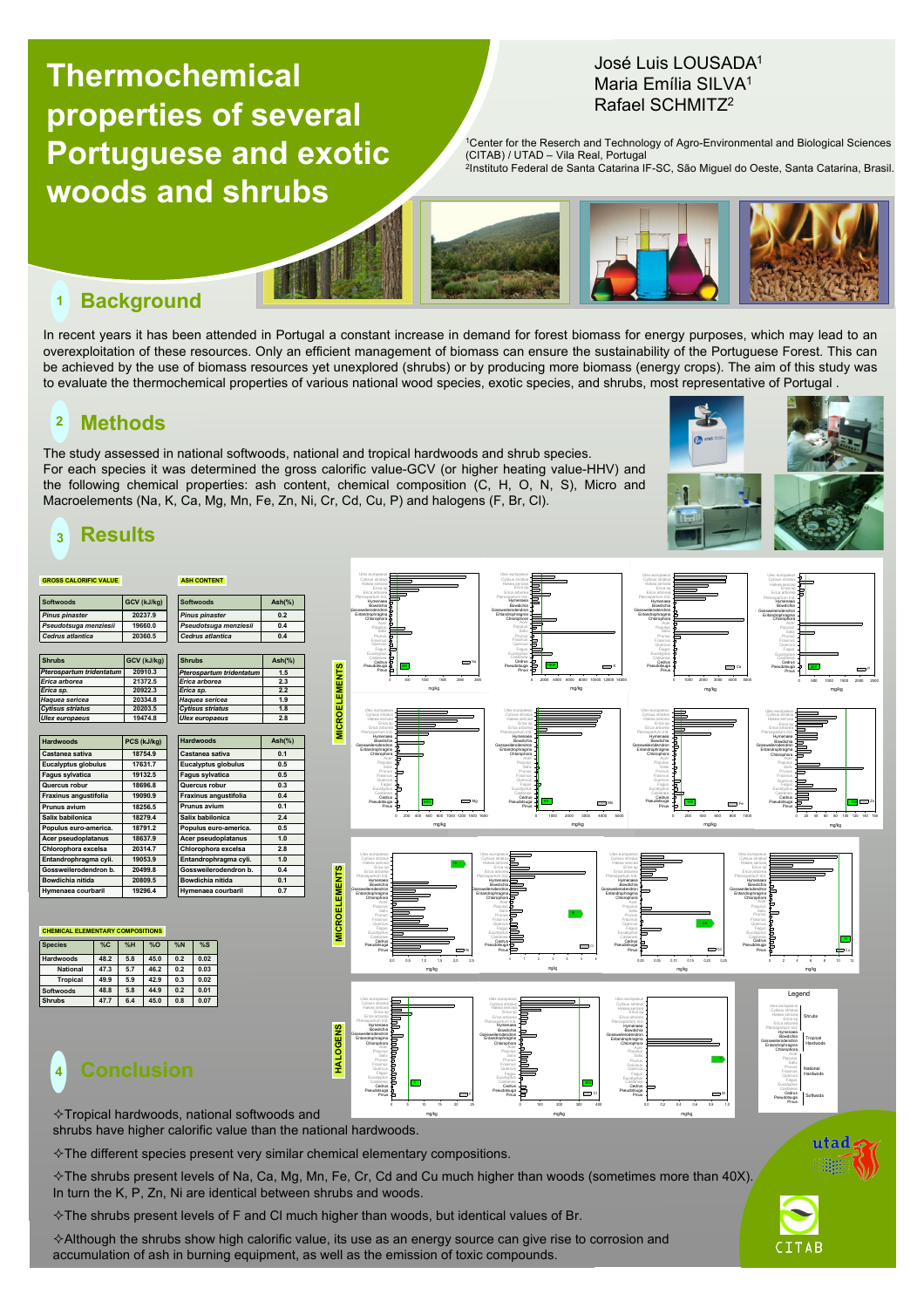# **Thermochemical properties of several Portuguese and exotic woods and shrubs**

### José Luis LOUSADA1 Maria Emília SILVA1 Rafael SCHMITZ2

<sup>1</sup>Center for the Reserch and Technology of Agro-Environmental and Biological Sciences (CITAB) / UTAD – Vila Real, Portugal<br><sup>2</sup>Instituto Federal de Santa Catarina IF-SC, São Miguel do Oeste, Santa Catarina, Brasil.



Erica sp.

Erica sp.

Hakea sericea Erica sp

Ulex europaeus Cytisus striatus Hakea sericea

#### **Background 1**

In recent years it has been attended in Portugal a constant increase in demand for forest biomass for energy purposes, which may lead to an overexploitation of these resources. Only an efficient management of biomass can ensure the sustainability of the Portuguese Forest. This can be achieved by the use of biomass resources yet unexplored (shrubs) or by producing more biomass (energy crops). The aim of this study was to evaluate the thermochemical properties of various national wood species, exotic species, and shrubs, most representative of Portugal .

Erica sp.

Cytisus striatus Hakea sericea Erica sp

#### **Methods 2**

The study assessed in national softwoods, national and tropical hardwoods and shrub species. For each species it was determined the gross calorific value-GCV (or higher heating value-HHV) and the following chemical properties: ash content, chemical composition (C, H, O, N, S), Micro and Macroelements (Na, K, Ca, Mg, Mn, Fe, Zn, Ni, Cr, Cd, Cu, P) and halogens (F, Br, Cl).

Giesta

Ulex europaeus Cytisus striatus Hakea sericea



**GROSS CALORIFIC VALUE** 

| <b>Softwoods</b>         | GCV (kJ/kg) | <b>Softwoods</b>         |           |
|--------------------------|-------------|--------------------------|-----------|
| <b>Pinus pinaster</b>    | 20237.9     | <b>Pinus pinaster</b>    | 0.2       |
| Pseudotsuga menziesii    | 19660.0     | Pseudotsuga menziesii    | 0.4       |
| Cedrus atlantica         | 20360.5     | Cedrus atlantica         | 0.4       |
| <b>Shrubs</b>            | GCV (kJ/kg) | <b>Shrubs</b>            | $Ash(\%)$ |
| Pterospartum tridentatum | 20910.3     | Pterospartum tridentatum | 1.5       |
| Erica arborea            | 21372.5     | Erica arborea            | 2.3       |
| Erica sp.                | 20922.3     | Erica sp.                | 2.2       |
| Haguea sericea           | 20334.8     | Haquea sericea           | 1.9       |
| <b>Cytisus striatus</b>  | 20203.5     | <b>Cytisus striatus</b>  | 1.8       |
| <b>Ulex europaeus</b>    | 19474.8     | <b>Ulex europaeus</b>    | 2.8       |

**ASH CONTENT** 

| <b>Hardwoods</b>           | PCS (kJ/kg) |
|----------------------------|-------------|
| Castanea sativa            | 18754.9     |
| <b>Eucalyptus globulus</b> | 17631.7     |
| <b>Fagus sylvatica</b>     | 19132.5     |
| Quercus robur              | 18696.8     |
| Fraxinus angustifolia      | 19090.9     |
| Prunus avium               | 18256.5     |
| Salix babilonica           | 18279.4     |
| Populus euro-america.      | 18791.2     |
| Acer pseudoplatanus        | 18637.9     |
| Chlorophora excelsa        | 20314.7     |
| Entandrophragma cyli.      | 19053.9     |
| Gossweilerodendron b.      | 20499.8     |
| Bowdichia nitida           | 20809.5     |
| Hymenaea courbaril         | 19296.4     |

| <b>CHEMICAL ELEMENTARY COMPOSITIONS</b> |    |    |      |                |  |
|-----------------------------------------|----|----|------|----------------|--|
| <b>Species</b>                          | %C | %H | %    | %N             |  |
| <b>Hardwoods</b>                        |    |    | 45.0 | 0 <sub>2</sub> |  |

| 48.2 | 5.8 | 45.0 | 0.2 | 0.02 |
|------|-----|------|-----|------|
| 47.3 | 5.7 | 46.2 | 0.2 | 0.03 |
| 49.9 | 5.9 | 42.9 | 0.3 | 0.02 |
| 48.8 | 5.8 | 44.9 | 0.2 | 0.01 |
| 47.7 | 6.4 | 45.0 | 0.8 | 0.07 |
|      |     |      |     |      |



# **<sup>4</sup> Conclusion**

 $\Diamond$  Tropical hardwoods, national softwoods and shrubs have higher calorific value than the national hardwoods.

 $\diamond$ The different species present very similar chemical elementary compositions.

**Hardwoods Ash(%)**

**Castanea sativa 0.1 Eucalyptus globulus 0.5 Fagus sylvatica 0.5 Quercus robur 0.3 Fraxinus angustifolia 0.4 Prunus avium 0.1 Salix babilonica 2.4 Populus euro-america. 0.5 Acer pseudoplatanus 1.0 Chlorophora excelsa 2.8 Entandrophragma cyli. 1.0 Gossweilerodendron b. 0.4 Bowdichia nitida 0.1 Hymenaea courbaril 0.7**

 $\Diamond$  The shrubs present levels of Na, Ca, Mg, Mn, Fe, Cr, Cd and Cu much higher than woods (sometimes more than 40X). In turn the K, P, Zn, Ni are identical between shrubs and woods.

 $\Diamond$  The shrubs present levels of F and CI much higher than woods, but identical values of Br.

 $\triangle$ Although the shrubs show high calorific value, its use as an energy source can give rise to corrosion and accumulation of ash in burning equipment, as well as the emission of toxic compounds.